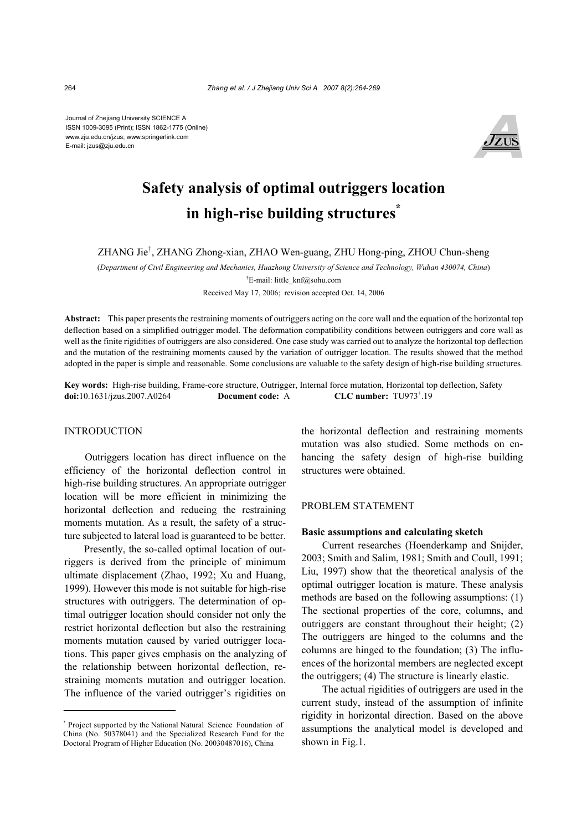Journal of Zhejiang University SCIENCE A ISSN 1009-3095 (Print); ISSN 1862-1775 (Online) www.zju.edu.cn/jzus; www.springerlink.com E-mail: jzus@zju.edu.cn



# **Safety analysis of optimal outriggers location in high-rise building structures\***

ZHANG Jie† , ZHANG Zhong-xian, ZHAO Wen-guang, ZHU Hong-ping, ZHOU Chun-sheng

(*Department of Civil Engineering and Mechanics, Huazhong University of Science and Technology, Wuhan 430074, China*) † E-mail: little\_knf@sohu.com

Received May 17, 2006; revision accepted Oct. 14, 2006

**Abstract:** This paper presents the restraining moments of outriggers acting on the core wall and the equation of the horizontal top deflection based on a simplified outrigger model. The deformation compatibility conditions between outriggers and core wall as well as the finite rigidities of outriggers are also considered. One case study was carried out to analyze the horizontal top deflection and the mutation of the restraining moments caused by the variation of outrigger location. The results showed that the method adopted in the paper is simple and reasonable. Some conclusions are valuable to the safety design of high-rise building structures.

**Key words:** High-rise building, Frame-core structure, Outrigger, Internal force mutation, Horizontal top deflection, Safety **doi:**10.1631/jzus.2007.A0264 **Document code:** A  $CLC$  number:  $TL1973<sup>+</sup>19$ 

### INTRODUCTION

Outriggers location has direct influence on the efficiency of the horizontal deflection control in high-rise building structures. An appropriate outrigger location will be more efficient in minimizing the horizontal deflection and reducing the restraining moments mutation. As a result, the safety of a structure subjected to lateral load is guaranteed to be better.

Presently, the so-called optimal location of outriggers is derived from the principle of minimum ultimate displacement (Zhao, 1992; Xu and Huang, 1999). However this mode is not suitable for high-rise structures with outriggers. The determination of optimal outrigger location should consider not only the restrict horizontal deflection but also the restraining moments mutation caused by varied outrigger locations. This paper gives emphasis on the analyzing of the relationship between horizontal deflection, restraining moments mutation and outrigger location. The influence of the varied outrigger's rigidities on the horizontal deflection and restraining moments mutation was also studied. Some methods on enhancing the safety design of high-rise building structures were obtained.

## PROBLEM STATEMENT

#### **Basic assumptions and calculating sketch**

Current researches (Hoenderkamp and Snijder, 2003; Smith and Salim, 1981; Smith and Coull, 1991; Liu, 1997) show that the theoretical analysis of the optimal outrigger location is mature. These analysis methods are based on the following assumptions: (1) The sectional properties of the core, columns, and outriggers are constant throughout their height; (2) The outriggers are hinged to the columns and the columns are hinged to the foundation; (3) The influences of the horizontal members are neglected except the outriggers; (4) The structure is linearly elastic.

The actual rigidities of outriggers are used in the current study, instead of the assumption of infinite rigidity in horizontal direction. Based on the above assumptions the analytical model is developed and shown in Fig.1.

<sup>\*</sup> Project supported by the National Natural Science Foundation of China (No. 50378041) and the Specialized Research Fund for the Doctoral Program of Higher Education (No. 20030487016), China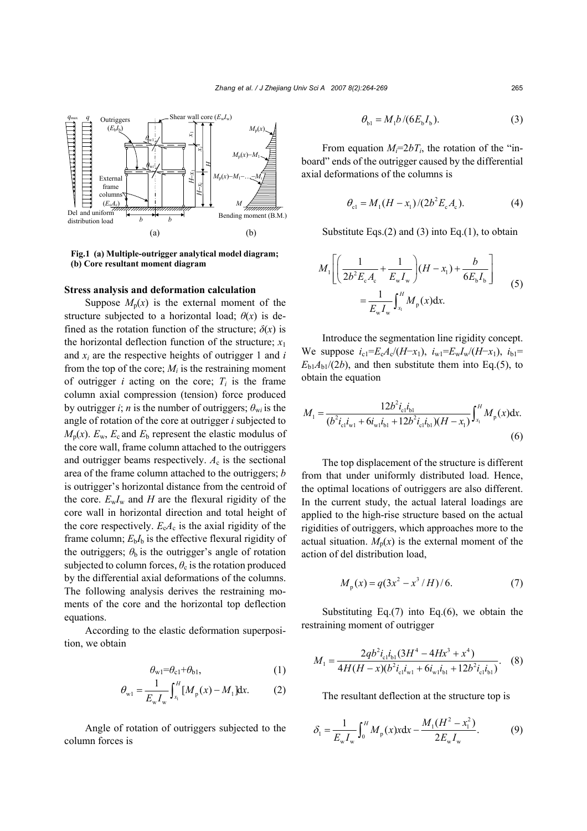

**Fig.1 (a) Multiple-outrigger analytical model diagram; (b) Core resultant moment diagram**

#### **Stress analysis and deformation calculation**

Suppose  $M_p(x)$  is the external moment of the structure subjected to a horizontal load;  $\theta(x)$  is defined as the rotation function of the structure;  $\delta(x)$  is the horizontal deflection function of the structure;  $x_1$ and *xi* are the respective heights of outrigger 1 and *i* from the top of the core;  $M_i$  is the restraining moment of outrigger *i* acting on the core;  $T_i$  is the frame column axial compression (tension) force produced by outrigger *i*; *n* is the number of outriggers;  $\theta_{wi}$  is the angle of rotation of the core at outrigger *i* subjected to  $M_p(x)$ .  $E_w$ ,  $E_c$  and  $E_b$  represent the elastic modulus of the core wall, frame column attached to the outriggers and outrigger beams respectively.  $A_c$  is the sectional area of the frame column attached to the outriggers; *b* is outrigger's horizontal distance from the centroid of the core.  $E_w I_w$  and *H* are the flexural rigidity of the core wall in horizontal direction and total height of the core respectively.  $E_cA_c$  is the axial rigidity of the frame column;  $E<sub>b</sub>I<sub>b</sub>$  is the effective flexural rigidity of the outriggers;  $\theta_b$  is the outrigger's angle of rotation subjected to column forces,  $\theta_c$  is the rotation produced by the differential axial deformations of the columns. The following analysis derives the restraining moments of the core and the horizontal top deflection equations.

According to the elastic deformation superposition, we obtain

$$
\theta_{w1} = \theta_{c1} + \theta_{b1},\tag{1}
$$

$$
\theta_{w1} = \frac{1}{E_w I_w} \int_{x_1}^H [M_p(x) - M_1] dx.
$$
 (2)

Angle of rotation of outriggers subjected to the column forces is

$$
\theta_{\rm bl} = M_1 b / (6E_{\rm b} I_{\rm b}).\tag{3}
$$

From equation  $M_i=2bT_i$ , the rotation of the "inboard" ends of the outrigger caused by the differential axial deformations of the columns is

$$
\theta_{\rm cl} = M_1 (H - x_1) / (2b^2 E_{\rm c} A_{\rm c}).\tag{4}
$$

Substitute Eqs. $(2)$  and  $(3)$  into Eq. $(1)$ , to obtain

$$
M_{1}\left[\left(\frac{1}{2b^{2}E_{c}A_{c}}+\frac{1}{E_{w}I_{w}}\right)(H-x_{1})+\frac{b}{6E_{b}I_{b}}\right]
$$
  
=  $\frac{1}{E_{w}I_{w}}\int_{x_{1}}^{H}M_{p}(x)dx.$  (5)

Introduce the segmentation line rigidity concept. We suppose  $i_{c1} = E_c A_c/(H-x_1)$ ,  $i_{w1} = E_w I_w/(H-x_1)$ ,  $i_{b1} =$  $E_{\text{bl}}A_{\text{bl}}/(2b)$ , and then substitute them into Eq.(5), to obtain the equation

$$
M_{1} = \frac{12b^{2}i_{\text{cl}}i_{\text{bl}}}{(b^{2}i_{\text{cl}}i_{\text{wl}} + 6i_{\text{wl}}i_{\text{bl}} + 12b^{2}i_{\text{cl}}i_{\text{bl}})(H - x_{1})} \int_{x_{1}}^{H} M_{p}(x)dx.
$$
\n(6)

The top displacement of the structure is different from that under uniformly distributed load. Hence, the optimal locations of outriggers are also different. In the current study, the actual lateral loadings are applied to the high-rise structure based on the actual rigidities of outriggers, which approaches more to the actual situation.  $M_p(x)$  is the external moment of the action of del distribution load,

$$
M_p(x) = q(3x^2 - x^3/H)/6.
$$
 (7)

Substituting Eq. $(7)$  into Eq. $(6)$ , we obtain the restraining moment of outrigger

$$
M_1 = \frac{2qb^2 i_{c1} i_{b1} (3H^4 - 4Hx^3 + x^4)}{4H(H - x)(b^2 i_{c1} i_{w1} + 6i_{w1} i_{b1} + 12b^2 i_{c1} i_{b1})}.
$$
 (8)

The resultant deflection at the structure top is

$$
\delta_1 = \frac{1}{E_w I_w} \int_0^H M_p(x) x dx - \frac{M_1 (H^2 - x_1^2)}{2E_w I_w}.
$$
 (9)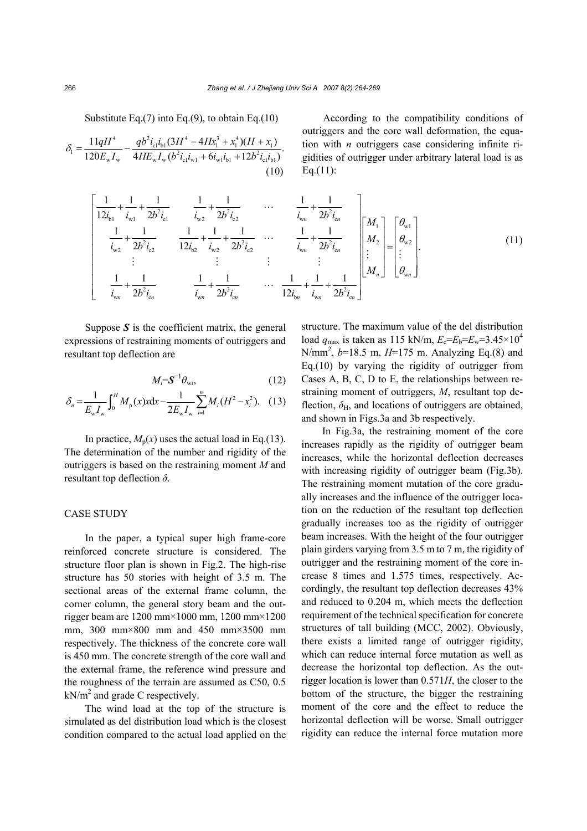Substitute Eq.(7) into Eq.(9), to obtain Eq.(10)

$$
\delta_{\rm l} = \frac{11qH^4}{120E_{\rm w}I_{\rm w}} - \frac{qb^2i_{\rm cl}i_{\rm bl}(3H^4 - 4Hx_{\rm l}^3 + x_{\rm l}^4)(H + x_{\rm l})}{4HE_{\rm w}I_{\rm w}(b^2i_{\rm cl}i_{\rm w1} + 6i_{\rm w1}i_{\rm bl} + 12b^2i_{\rm cl}i_{\rm bl})}.
$$
\n(10)

According to the compatibility conditions of outriggers and the core wall deformation, the equation with *n* outriggers case considering infinite rigidities of outrigger under arbitrary lateral load is as Eq.(11):

$$
\begin{bmatrix}\n\frac{1}{12i_{b1}} + \frac{1}{i_{w1}} + \frac{1}{2b^2i_{c1}} & \frac{1}{i_{w2}} + \frac{1}{2b^2i_{c2}} & \cdots & \frac{1}{i_{wn}} + \frac{1}{2b^2i_{cn}} \\
\frac{1}{i_{w2}} + \frac{1}{2b^2i_{c2}} & \frac{1}{12i_{b2}} + \frac{1}{i_{w2}} + \frac{1}{2b^2i_{c2}} & \cdots & \frac{1}{i_{wn}} + \frac{1}{2b^2i_{cn}} \\
\vdots & \vdots & \vdots & \vdots \\
\frac{1}{i_{wn}} + \frac{1}{2b^2i_{cn}} & \frac{1}{i_{wn}} + \frac{1}{2b^2i_{cn}} & \cdots & \frac{1}{12i_{bn}} + \frac{1}{i_{wn}} + \frac{1}{2b^2i_{cn}}\n\end{bmatrix}\n\begin{bmatrix}\nM_1 \\
M_2 \\
\vdots \\
M_n\n\end{bmatrix}\n=\n\begin{bmatrix}\n\theta_{w1} \\
\theta_{w2} \\
\vdots \\
\theta_{wn}\n\end{bmatrix}.
$$
\n(11)

Suppose  $S$  is the coefficient matrix, the general expressions of restraining moments of outriggers and resultant top deflection are

$$
M_i = \mathbf{S}^{-1} \theta_{\text{wi}},\tag{12}
$$

$$
\delta_n = \frac{1}{E_{\rm w} I_{\rm w}} \int_0^H M_{\rm p}(x) x \mathrm{d}x - \frac{1}{2E_{\rm w} I_{\rm w}} \sum_{i=1}^n M_i (H^2 - x_i^2). \quad (13)
$$

In practice,  $M_p(x)$  uses the actual load in Eq.(13). The determination of the number and rigidity of the outriggers is based on the restraining moment *M* and resultant top deflection *δ*.

## CASE STUDY

In the paper, a typical super high frame-core reinforced concrete structure is considered. The structure floor plan is shown in Fig.2. The high-rise structure has 50 stories with height of 3.5 m. The sectional areas of the external frame column, the corner column, the general story beam and the outrigger beam are 1200 mm×1000 mm, 1200 mm×1200 mm, 300 mm×800 mm and 450 mm×3500 mm respectively. The thickness of the concrete core wall is 450 mm. The concrete strength of the core wall and the external frame, the reference wind pressure and the roughness of the terrain are assumed as C50, 0.5  $kN/m^2$  and grade C respectively.

The wind load at the top of the structure is simulated as del distribution load which is the closest condition compared to the actual load applied on the

structure. The maximum value of the del distribution load  $q_{\text{max}}$  is taken as 115 kN/m,  $E_c = E_b = E_w = 3.45 \times 10^4$ N/mm<sup>2</sup>,  $b=18.5$  m,  $H=175$  m. Analyzing Eq.(8) and Eq.(10) by varying the rigidity of outrigger from Cases A, B, C, D to E, the relationships between restraining moment of outriggers, *M*, resultant top deflection,  $\delta_{\rm H}$ , and locations of outriggers are obtained, and shown in Figs.3a and 3b respectively.

In Fig.3a, the restraining moment of the core increases rapidly as the rigidity of outrigger beam increases, while the horizontal deflection decreases with increasing rigidity of outrigger beam (Fig.3b). The restraining moment mutation of the core gradually increases and the influence of the outrigger location on the reduction of the resultant top deflection gradually increases too as the rigidity of outrigger beam increases. With the height of the four outrigger plain girders varying from 3.5 m to 7 m, the rigidity of outrigger and the restraining moment of the core increase 8 times and 1.575 times, respectively. Accordingly, the resultant top deflection decreases 43% and reduced to 0.204 m, which meets the deflection requirement of the technical specification for concrete structures of tall building (MCC, 2002). Obviously, there exists a limited range of outrigger rigidity, which can reduce internal force mutation as well as decrease the horizontal top deflection. As the outrigger location is lower than 0.571*H*, the closer to the bottom of the structure, the bigger the restraining moment of the core and the effect to reduce the horizontal deflection will be worse. Small outrigger rigidity can reduce the internal force mutation more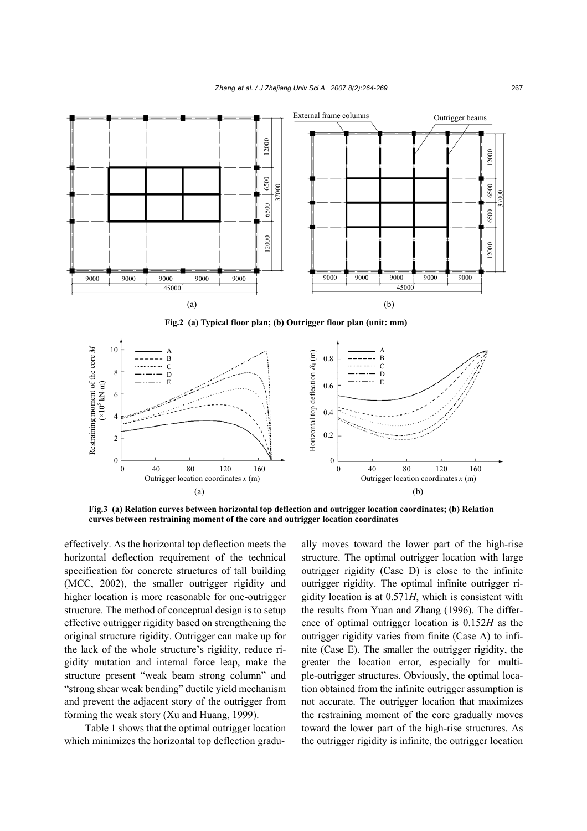

**Fig.2 (a) Typical floor plan; (b) Outrigger floor plan (unit: mm)** 



**Fig.3 (a) Relation curves between horizontal top deflection and outrigger location coordinates; (b) Relation curves between restraining moment of the core and outrigger location coordinates** 

effectively. As the horizontal top deflection meets the horizontal deflection requirement of the technical specification for concrete structures of tall building (MCC, 2002), the smaller outrigger rigidity and higher location is more reasonable for one-outrigger structure. The method of conceptual design is to setup effective outrigger rigidity based on strengthening the original structure rigidity. Outrigger can make up for the lack of the whole structure's rigidity, reduce rigidity mutation and internal force leap, make the structure present "weak beam strong column" and "strong shear weak bending" ductile yield mechanism and prevent the adjacent story of the outrigger from forming the weak story (Xu and Huang, 1999).

Table 1 shows that the optimal outrigger location which minimizes the horizontal top deflection gradually moves toward the lower part of the high-rise structure. The optimal outrigger location with large outrigger rigidity (Case D) is close to the infinite outrigger rigidity. The optimal infinite outrigger rigidity location is at 0.571*H*, which is consistent with the results from Yuan and Zhang (1996). The difference of optimal outrigger location is 0.152*H* as the outrigger rigidity varies from finite (Case A) to infinite (Case E). The smaller the outrigger rigidity, the greater the location error, especially for multiple-outrigger structures. Obviously, the optimal location obtained from the infinite outrigger assumption is not accurate. The outrigger location that maximizes the restraining moment of the core gradually moves toward the lower part of the high-rise structures. As the outrigger rigidity is infinite, the outrigger location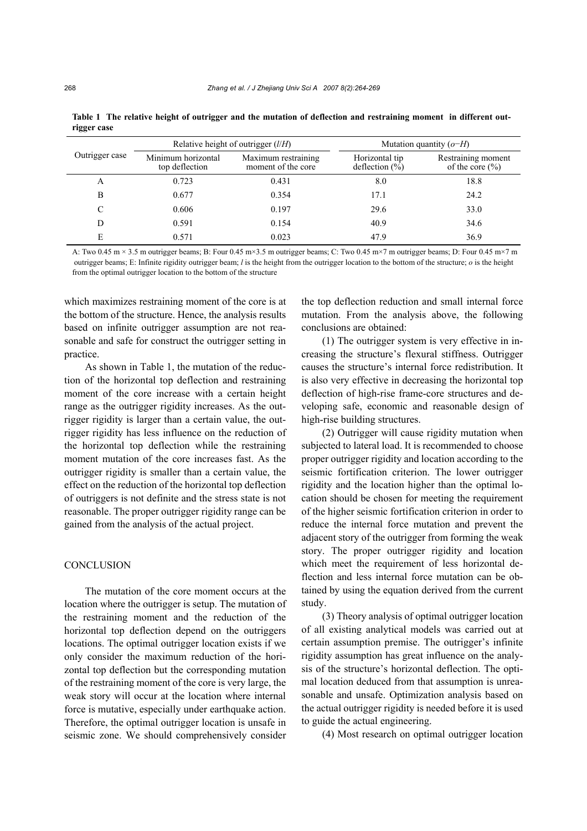| Outrigger case | Relative height of outrigger $(l/H)$ |                                           | Mutation quantity $(o-H)$            |                                           |
|----------------|--------------------------------------|-------------------------------------------|--------------------------------------|-------------------------------------------|
|                | Minimum horizontal<br>top deflection | Maximum restraining<br>moment of the core | Horizontal tip<br>deflection $(\% )$ | Restraining moment<br>of the core $(\% )$ |
| A              | 0.723                                | 0.431                                     | 8.0                                  | 18.8                                      |
| В              | 0.677                                | 0.354                                     | 17.1                                 | 24.2                                      |
| C              | 0.606                                | 0.197                                     | 29.6                                 | 33.0                                      |
| D              | 0.591                                | 0.154                                     | 40.9                                 | 34.6                                      |
| E              | 0.571                                | 0.023                                     | 47.9                                 | 36.9                                      |

**Table 1 The relative height of outrigger and the mutation of deflection and restraining moment in different outrigger case**

A: Two 0.45 m × 3.5 m outrigger beams; B: Four 0.45 m×3.5 m outrigger beams; C: Two 0.45 m×7 m outrigger beams; D: Four 0.45 m×7 m outrigger beams; E: Infinite rigidity outrigger beam; *l* is the height from the outrigger location to the bottom of the structure; *o* is the height from the optimal outrigger location to the bottom of the structure

which maximizes restraining moment of the core is at the bottom of the structure. Hence, the analysis results based on infinite outrigger assumption are not reasonable and safe for construct the outrigger setting in practice.

As shown in Table 1, the mutation of the reduction of the horizontal top deflection and restraining moment of the core increase with a certain height range as the outrigger rigidity increases. As the outrigger rigidity is larger than a certain value, the outrigger rigidity has less influence on the reduction of the horizontal top deflection while the restraining moment mutation of the core increases fast. As the outrigger rigidity is smaller than a certain value, the effect on the reduction of the horizontal top deflection of outriggers is not definite and the stress state is not reasonable. The proper outrigger rigidity range can be gained from the analysis of the actual project.

#### **CONCLUSION**

The mutation of the core moment occurs at the location where the outrigger is setup. The mutation of the restraining moment and the reduction of the horizontal top deflection depend on the outriggers locations. The optimal outrigger location exists if we only consider the maximum reduction of the horizontal top deflection but the corresponding mutation of the restraining moment of the core is very large, the weak story will occur at the location where internal force is mutative, especially under earthquake action. Therefore, the optimal outrigger location is unsafe in seismic zone. We should comprehensively consider the top deflection reduction and small internal force mutation. From the analysis above, the following conclusions are obtained:

(1) The outrigger system is very effective in increasing the structure's flexural stiffness. Outrigger causes the structure's internal force redistribution. It is also very effective in decreasing the horizontal top deflection of high-rise frame-core structures and developing safe, economic and reasonable design of high-rise building structures.

(2) Outrigger will cause rigidity mutation when subjected to lateral load. It is recommended to choose proper outrigger rigidity and location according to the seismic fortification criterion. The lower outrigger rigidity and the location higher than the optimal location should be chosen for meeting the requirement of the higher seismic fortification criterion in order to reduce the internal force mutation and prevent the adjacent story of the outrigger from forming the weak story. The proper outrigger rigidity and location which meet the requirement of less horizontal deflection and less internal force mutation can be obtained by using the equation derived from the current study.

(3) Theory analysis of optimal outrigger location of all existing analytical models was carried out at certain assumption premise. The outrigger's infinite rigidity assumption has great influence on the analysis of the structure's horizontal deflection. The optimal location deduced from that assumption is unreasonable and unsafe. Optimization analysis based on the actual outrigger rigidity is needed before it is used to guide the actual engineering.

(4) Most research on optimal outrigger location